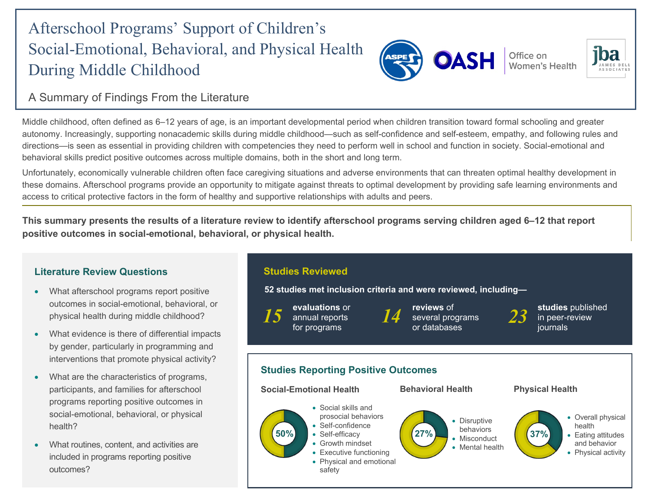# Afterschool Programs' Support of Children's Social-Emotional, Behavioral, and Physical Health During Middle Childhood



Office on **Women's Health** 



# A Summary of Findings From the Literature

Middle childhood, often defined as 6–12 years of age, is an important developmental period when children transition toward formal schooling and greater autonomy. Increasingly, supporting nonacademic skills during middle childhood—such as self-confidence and self-esteem, empathy, and following rules and directions—is seen as essential in providing children with competencies they need to perform well in school and function in society. Social-emotional and behavioral skills predict positive outcomes across multiple domains, both in the short and long term.

Unfortunately, economically vulnerable children often face caregiving situations and adverse environments that can threaten optimal healthy development in these domains. Afterschool programs provide an opportunity to mitigate against threats to optimal development by providing safe learning environments and access to critical protective factors in the form of healthy and supportive relationships with adults and peers.

**This summary presents the results of a literature review to identify afterschool programs serving children aged 6–12 that report positive outcomes in social-emotional, behavioral, or physical health.**



- What afterschool programs report positive outcomes in social-emotional, behavioral, or physical health during middle childhood?
- What evidence is there of differential impacts by gender, particularly in programming and interventions that promote physical activity?
- What are the characteristics of programs, participants, and families for afterschool programs reporting positive outcomes in social-emotional, behavioral, or physical health?
- What routines, content, and activities are included in programs reporting positive outcomes?